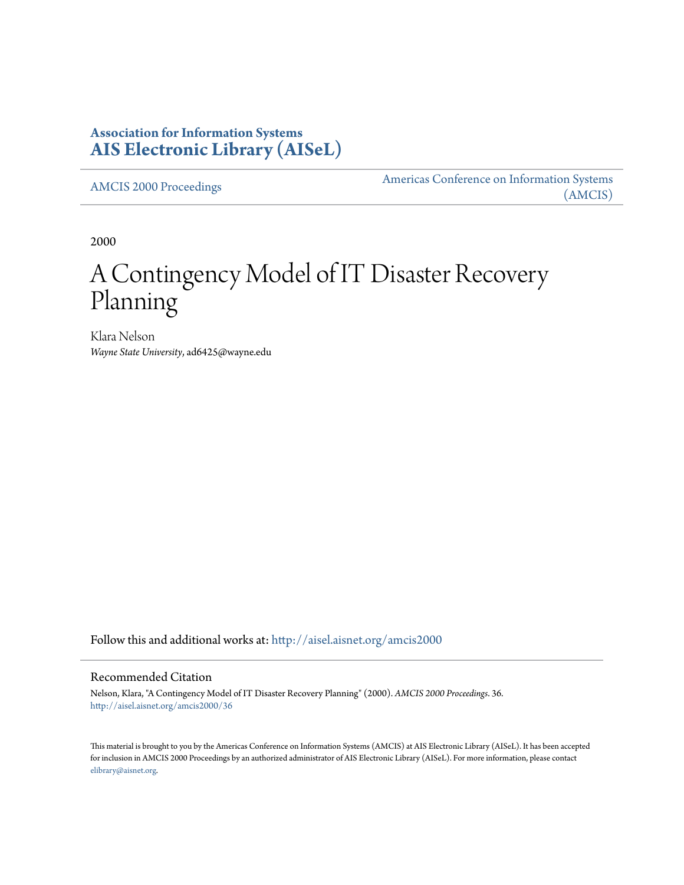# **Association for Information Systems [AIS Electronic Library \(AISeL\)](http://aisel.aisnet.org?utm_source=aisel.aisnet.org%2Famcis2000%2F36&utm_medium=PDF&utm_campaign=PDFCoverPages)**

[AMCIS 2000 Proceedings](http://aisel.aisnet.org/amcis2000?utm_source=aisel.aisnet.org%2Famcis2000%2F36&utm_medium=PDF&utm_campaign=PDFCoverPages)

[Americas Conference on Information Systems](http://aisel.aisnet.org/amcis?utm_source=aisel.aisnet.org%2Famcis2000%2F36&utm_medium=PDF&utm_campaign=PDFCoverPages) [\(AMCIS\)](http://aisel.aisnet.org/amcis?utm_source=aisel.aisnet.org%2Famcis2000%2F36&utm_medium=PDF&utm_campaign=PDFCoverPages)

2000

# A Contingency Model of IT Disaster Recovery Planning

Klara Nelson *Wayne State University*, ad6425@wayne.edu

Follow this and additional works at: [http://aisel.aisnet.org/amcis2000](http://aisel.aisnet.org/amcis2000?utm_source=aisel.aisnet.org%2Famcis2000%2F36&utm_medium=PDF&utm_campaign=PDFCoverPages)

#### Recommended Citation

Nelson, Klara, "A Contingency Model of IT Disaster Recovery Planning" (2000). *AMCIS 2000 Proceedings*. 36. [http://aisel.aisnet.org/amcis2000/36](http://aisel.aisnet.org/amcis2000/36?utm_source=aisel.aisnet.org%2Famcis2000%2F36&utm_medium=PDF&utm_campaign=PDFCoverPages)

This material is brought to you by the Americas Conference on Information Systems (AMCIS) at AIS Electronic Library (AISeL). It has been accepted for inclusion in AMCIS 2000 Proceedings by an authorized administrator of AIS Electronic Library (AISeL). For more information, please contact [elibrary@aisnet.org.](mailto:elibrary@aisnet.org%3E)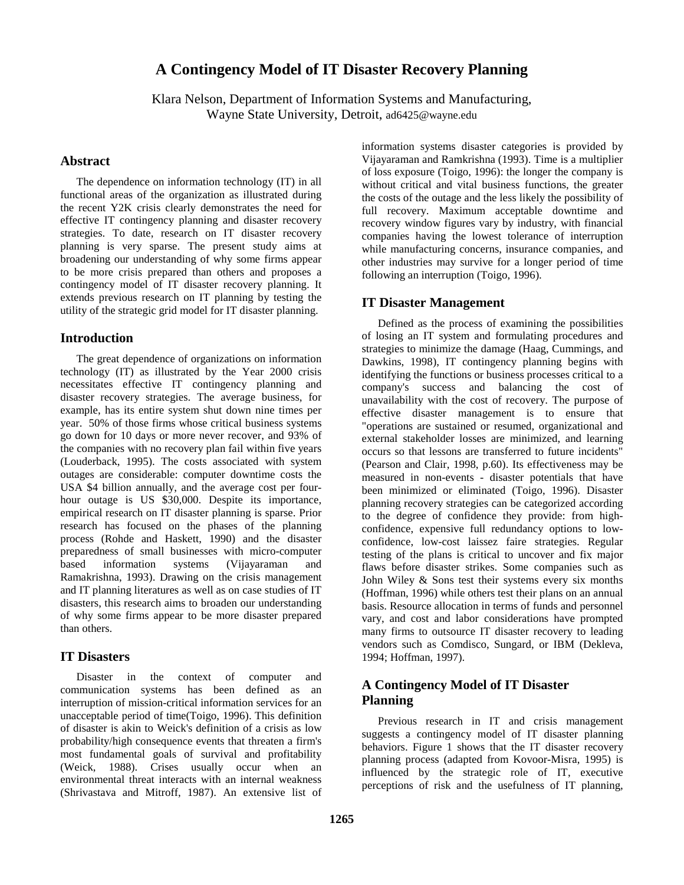# **A Contingency Model of IT Disaster Recovery Planning**

Klara Nelson, Department of Information Systems and Manufacturing, Wayne State University, Detroit, ad6425@wayne.edu

#### **Abstract**

The dependence on information technology (IT) in all functional areas of the organization as illustrated during the recent Y2K crisis clearly demonstrates the need for effective IT contingency planning and disaster recovery strategies. To date, research on IT disaster recovery planning is very sparse. The present study aims at broadening our understanding of why some firms appear to be more crisis prepared than others and proposes a contingency model of IT disaster recovery planning. It extends previous research on IT planning by testing the utility of the strategic grid model for IT disaster planning.

## **Introduction**

The great dependence of organizations on information technology (IT) as illustrated by the Year 2000 crisis necessitates effective IT contingency planning and disaster recovery strategies. The average business, for example, has its entire system shut down nine times per year. 50% of those firms whose critical business systems go down for 10 days or more never recover, and 93% of the companies with no recovery plan fail within five years (Louderback, 1995). The costs associated with system outages are considerable: computer downtime costs the USA \$4 billion annually, and the average cost per fourhour outage is US \$30,000. Despite its importance, empirical research on IT disaster planning is sparse. Prior research has focused on the phases of the planning process (Rohde and Haskett, 1990) and the disaster preparedness of small businesses with micro-computer based information systems (Vijayaraman and Ramakrishna, 1993). Drawing on the crisis management and IT planning literatures as well as on case studies of IT disasters, this research aims to broaden our understanding of why some firms appear to be more disaster prepared than others.

## **IT Disasters**

Disaster in the context of computer and communication systems has been defined as an interruption of mission-critical information services for an unacceptable period of time(Toigo, 1996). This definition of disaster is akin to Weick's definition of a crisis as low probability/high consequence events that threaten a firm's most fundamental goals of survival and profitability (Weick, 1988). Crises usually occur when an environmental threat interacts with an internal weakness (Shrivastava and Mitroff, 1987). An extensive list of

information systems disaster categories is provided by Vijayaraman and Ramkrishna (1993). Time is a multiplier of loss exposure (Toigo, 1996): the longer the company is without critical and vital business functions, the greater the costs of the outage and the less likely the possibility of full recovery. Maximum acceptable downtime and recovery window figures vary by industry, with financial companies having the lowest tolerance of interruption while manufacturing concerns, insurance companies, and other industries may survive for a longer period of time following an interruption (Toigo, 1996).

## **IT Disaster Management**

Defined as the process of examining the possibilities of losing an IT system and formulating procedures and strategies to minimize the damage (Haag, Cummings, and Dawkins, 1998), IT contingency planning begins with identifying the functions or business processes critical to a company's success and balancing the cost of unavailability with the cost of recovery. The purpose of effective disaster management is to ensure that "operations are sustained or resumed, organizational and external stakeholder losses are minimized, and learning occurs so that lessons are transferred to future incidents" (Pearson and Clair, 1998, p.60). Its effectiveness may be measured in non-events - disaster potentials that have been minimized or eliminated (Toigo, 1996). Disaster planning recovery strategies can be categorized according to the degree of confidence they provide: from highconfidence, expensive full redundancy options to lowconfidence, low-cost laissez faire strategies. Regular testing of the plans is critical to uncover and fix major flaws before disaster strikes. Some companies such as John Wiley & Sons test their systems every six months (Hoffman, 1996) while others test their plans on an annual basis. Resource allocation in terms of funds and personnel vary, and cost and labor considerations have prompted many firms to outsource IT disaster recovery to leading vendors such as Comdisco, Sungard, or IBM (Dekleva, 1994; Hoffman, 1997).

## **A Contingency Model of IT Disaster Planning**

Previous research in IT and crisis management suggests a contingency model of IT disaster planning behaviors. Figure 1 shows that the IT disaster recovery planning process (adapted from Kovoor-Misra, 1995) is influenced by the strategic role of IT, executive perceptions of risk and the usefulness of IT planning,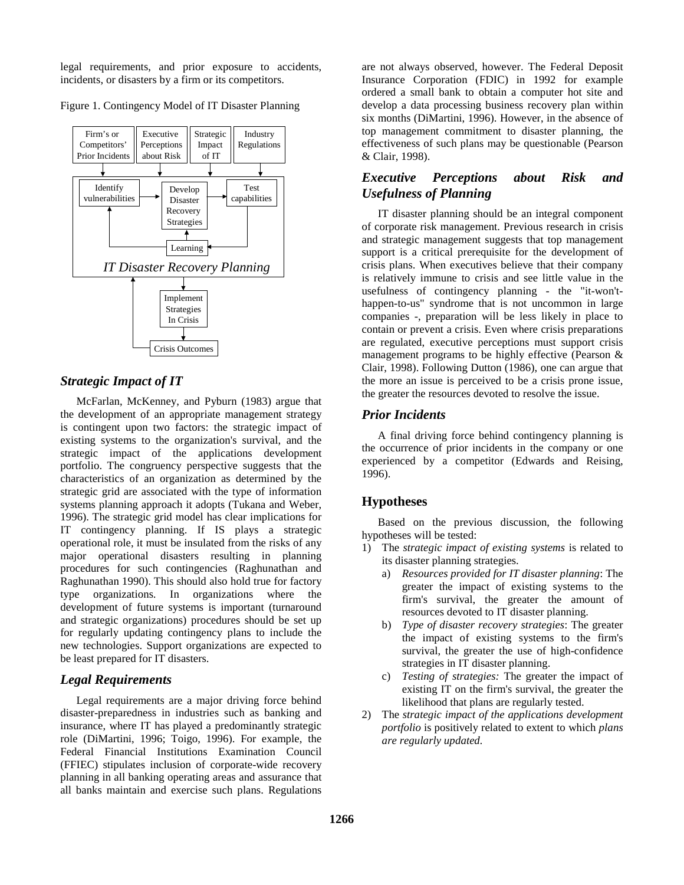legal requirements, and prior exposure to accidents, incidents, or disasters by a firm or its competitors.

Figure 1. Contingency Model of IT Disaster Planning



## *Strategic Impact of IT*

McFarlan, McKenney, and Pyburn (1983) argue that the development of an appropriate management strategy is contingent upon two factors: the strategic impact of existing systems to the organization's survival, and the strategic impact of the applications development portfolio. The congruency perspective suggests that the characteristics of an organization as determined by the strategic grid are associated with the type of information systems planning approach it adopts (Tukana and Weber, 1996). The strategic grid model has clear implications for IT contingency planning. If IS plays a strategic operational role, it must be insulated from the risks of any major operational disasters resulting in planning procedures for such contingencies (Raghunathan and Raghunathan 1990). This should also hold true for factory type organizations. In organizations where the development of future systems is important (turnaround and strategic organizations) procedures should be set up for regularly updating contingency plans to include the new technologies. Support organizations are expected to be least prepared for IT disasters.

## *Legal Requirements*

Legal requirements are a major driving force behind disaster-preparedness in industries such as banking and insurance, where IT has played a predominantly strategic role (DiMartini, 1996; Toigo, 1996). For example, the Federal Financial Institutions Examination Council (FFIEC) stipulates inclusion of corporate-wide recovery planning in all banking operating areas and assurance that all banks maintain and exercise such plans. Regulations

are not always observed, however. The Federal Deposit Insurance Corporation (FDIC) in 1992 for example ordered a small bank to obtain a computer hot site and develop a data processing business recovery plan within six months (DiMartini, 1996). However, in the absence of top management commitment to disaster planning, the effectiveness of such plans may be questionable (Pearson & Clair, 1998).

## *Executive Perceptions about Risk and Usefulness of Planning*

IT disaster planning should be an integral component of corporate risk management. Previous research in crisis and strategic management suggests that top management support is a critical prerequisite for the development of crisis plans. When executives believe that their company is relatively immune to crisis and see little value in the usefulness of contingency planning - the "it-won'thappen-to-us" syndrome that is not uncommon in large companies -, preparation will be less likely in place to contain or prevent a crisis. Even where crisis preparations are regulated, executive perceptions must support crisis management programs to be highly effective (Pearson & Clair, 1998). Following Dutton (1986), one can argue that the more an issue is perceived to be a crisis prone issue, the greater the resources devoted to resolve the issue.

## *Prior Incidents*

A final driving force behind contingency planning is the occurrence of prior incidents in the company or one experienced by a competitor (Edwards and Reising, 1996).

## **Hypotheses**

Based on the previous discussion, the following hypotheses will be tested:

- 1) The *strategic impact of existing systems* is related to its disaster planning strategies.
	- a) *Resources provided for IT disaster planning*: The greater the impact of existing systems to the firm's survival, the greater the amount of resources devoted to IT disaster planning.
	- b) *Type of disaster recovery strategies*: The greater the impact of existing systems to the firm's survival, the greater the use of high-confidence strategies in IT disaster planning.
	- c) *Testing of strategies:* The greater the impact of existing IT on the firm's survival, the greater the likelihood that plans are regularly tested.
- 2) The *strategic impact of the applications development portfolio* is positively related to extent to which *plans are regularly updated.*